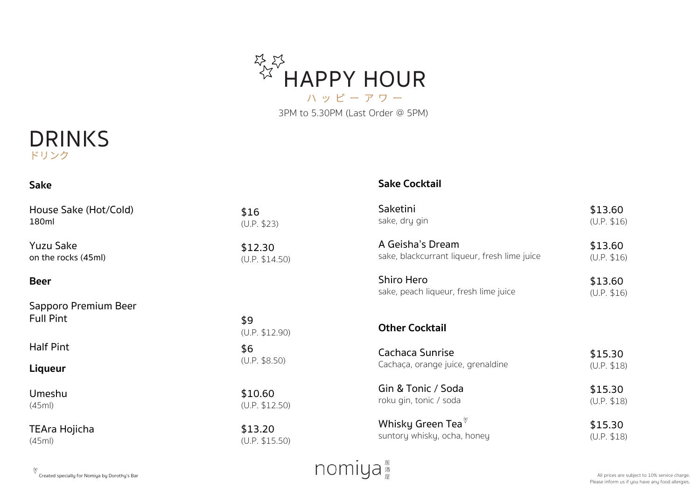



#### **Sake**

#### **Sake Cocktail**

| House Sake (Hot/Cold)                    | \$16                  | Saketini                                            | \$13.60                |
|------------------------------------------|-----------------------|-----------------------------------------------------|------------------------|
| 180ml                                    | (U.P. \$23)           | sake, dry gin                                       | (U.P. \$16)            |
| <b>Yuzu Sake</b>                         | \$12.30               | A Geisha's Dream                                    | \$13.60                |
| on the rocks (45ml)                      | (U.P. \$14.50)        | sake, blackcurrant liqueur, fresh lime juice        | (U.P. \$16)            |
| <b>Beer</b>                              |                       | Shiro Hero<br>sake, peach liqueur, fresh lime juice | \$13.60<br>(U.P. \$16) |
| Sapporo Premium Beer<br><b>Full Pint</b> | \$9<br>(U.P. \$12.90) | <b>Other Cocktail</b>                               |                        |
| <b>Half Pint</b>                         | \$6<br>(U.P. \$8.50)  | Cachaca Sunrise                                     | \$15.30                |
| <b>Liqueur</b>                           |                       | Cachaça, orange juice, grenaldine                   | (U.P. \$18)            |
| Umeshu                                   | \$10.60               | Gin & Tonic / Soda                                  | \$15.30                |
| (45ml)                                   | (U.P. \$12.50)        | roku gin, tonic / soda                              | (U.P. \$18)            |
| <b>TEAra Hojicha</b>                     | \$13.20               | Whisky Green Tea $^{\mathbb{V}}$                    | \$15.30                |
| (45ml)                                   | (U.P. \$15.50)        | suntory whisky, ocha, honey                         | (U.P. \$18)            |

nomiya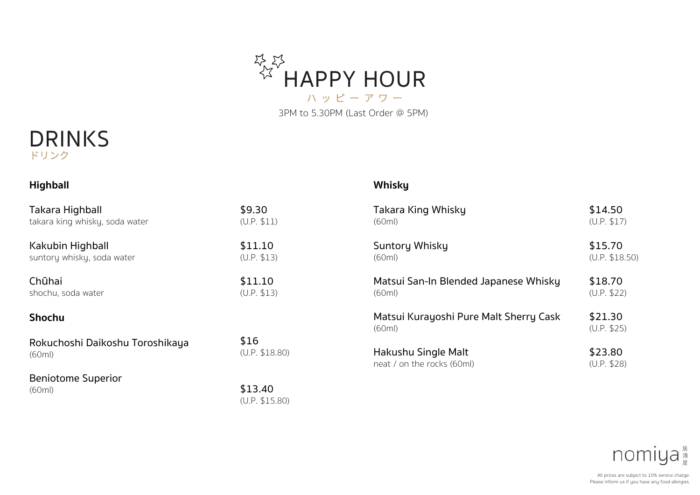



| <b>Highball</b>                 |                                                     | <b>Whisky</b>                                    |                        |
|---------------------------------|-----------------------------------------------------|--------------------------------------------------|------------------------|
| Takara Highball                 | \$9.30                                              | Takara King Whisky                               | \$14.50                |
| takara king whisky, soda water  | (U.P. \$11)                                         | (60ml)                                           | (U.P. \$17)            |
| Kakubin Highball                | \$11.10                                             | Suntory Whisky                                   | \$15.70                |
| suntory whisky, soda water      | (U.P. \$13)                                         | (60ml)                                           | (U.P. \$18.50)         |
| Chūhai                          | \$11.10                                             | Matsui San-In Blended Japanese Whisky            | \$18.70                |
| shochu, soda water              | (U.P. \$13)                                         | (60ml)                                           | (U.P. \$22)            |
| <b>Shochu</b>                   |                                                     | Matsui Kurayoshi Pure Malt Sherry Cask<br>(60ml) | \$21.30<br>(U.P. \$25) |
| Rokuchoshi Daikoshu Toroshikaya | \$16                                                | Hakushu Single Malt                              | \$23.80                |
| (60ml)                          | (U.P. \$18.80)                                      | neat / on the rocks (60ml)                       | (U.P. \$28)            |
| <b>Beniotome Superior</b>       | $\mathbf{1}$ $\mathbf{2}$ $\mathbf{3}$ $\mathbf{4}$ |                                                  |                        |

(60ml)

\$13.40 (U.P. \$15.80)

| nomiya                                        |  |
|-----------------------------------------------|--|
| All prices are subject to 10% service charge. |  |

Please inform us if you have any food allergies.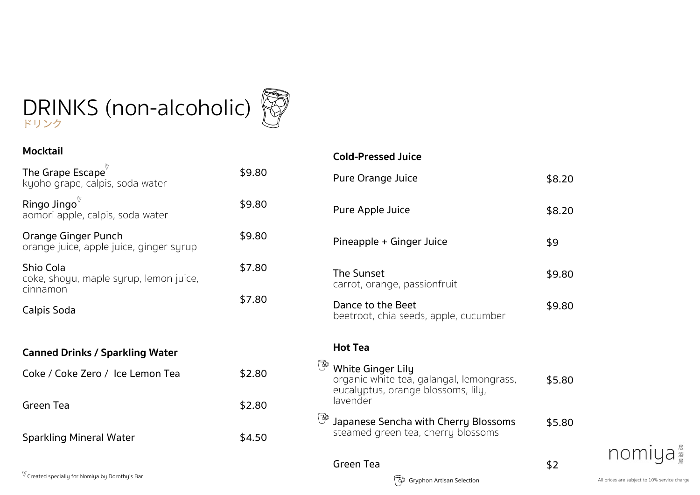### ドリンク DRINKS (non-alcoholic)



\$2.80

\$4.50

#### **Mocktail**

Green Tea

| The Grape Escape<br>kyoho grape, calpis, soda water             | \$9.80 |
|-----------------------------------------------------------------|--------|
| Ringo Jingo<br>aomori apple, calpis, soda water                 | \$9.80 |
| Orange Ginger Punch<br>orange juice, apple juice, ginger syrup  | \$9.80 |
| Shio Cola<br>coke, shoyu, maple syrup, lemon juice,<br>cinnamon | \$7.80 |
| Calpis Soda                                                     | \$7.80 |
| <b>Canned Drinks / Sparkling Water</b>                          |        |
| Coke / Coke Zero / Ice Lemon Tea                                | \$2.80 |

### **Cold-Pressed Juice**

| Pure Orange Juice                                                                                                      | \$8.20 |
|------------------------------------------------------------------------------------------------------------------------|--------|
| Pure Apple Juice                                                                                                       | \$8.20 |
| Pineapple + Ginger Juice                                                                                               | \$9    |
| The Sunset<br>carrot, orange, passionfruit                                                                             | \$9.80 |
| Dance to the Beet<br>beetroot, chia seeds, apple, cucumber                                                             | \$9.80 |
| <b>Hot Tea</b>                                                                                                         |        |
| <b>White Ginger Lily</b><br>organic white tea, galangal, lemongrass,<br>eucalyptus, orange blossoms, lily,<br>lavender | \$5.80 |
| Japanese Sencha with Cherry Blossoms<br>steamed green tea, cherry blossoms                                             | \$5.80 |
|                                                                                                                        |        |

### Green Tea



\$2

Sparkling Mineral Water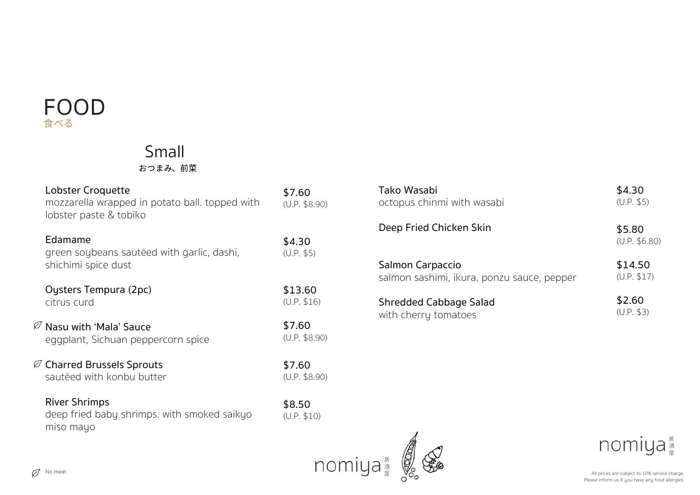### FOOD ⻝べる

### Small

おつまみ、前菜

| Lobster Croquette<br>mozzarella wrapped in potato ball. topped with<br>lobster paste & tobiko | \$7.60<br>(U.P. \$8.90) |
|-----------------------------------------------------------------------------------------------|-------------------------|
| Edamame<br>green soybeans sautéed with garlic, dashi,<br>shichimi spice dust                  | \$4.30<br>(U.P. \$5)    |
| Oysters Tempura (2pc)<br>citrus curd                                                          | \$13.60<br>(U.P. \$16)  |
| $\varnothing$ Nasu with 'Mala' Sauce<br>eggplant, Sichuan peppercorn spice                    | \$7.60<br>(U.P. \$8.90) |
| $\varnothing$ Charred Brussels Sprouts<br>sautéed with konbu butter                           | \$7.60<br>(U.P. \$8.90) |
| <b>River Shrimps</b><br>deep fried baby shrimps. with smoked saikyo<br>miso mayo              | \$8.50<br>(U.P. \$10)   |

| Tako Wasabi                                | \$4.30                  |
|--------------------------------------------|-------------------------|
| octopus chinmi with wasabi                 | (U.P. \$5)              |
| Deep Fried Chicken Skin                    | \$5.80<br>(U.P. \$6.80) |
| Salmon Carpaccio                           | \$14.50                 |
| salmon sashimi, ikura, ponzu sauce, pepper | (U.P. \$17)             |
| Shredded Cabbage Salad                     | \$2.60                  |
| with cherry tomatoes                       | (U.P. \$3)              |



nomiya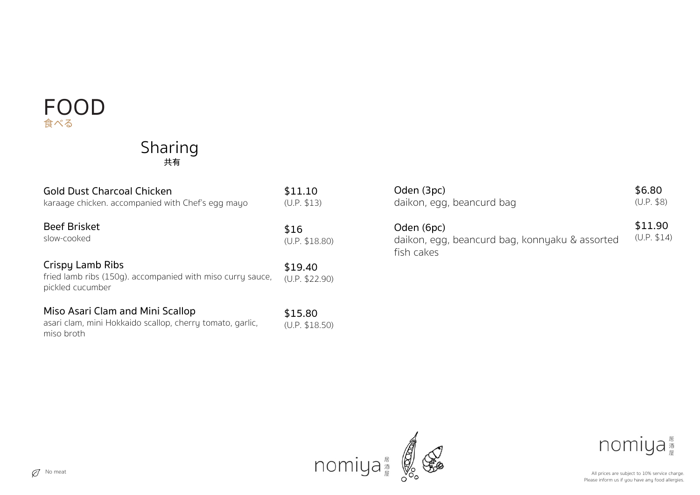### FOOD ⻝べる

### Sharing 共有

| <b>Gold Dust Charcoal Chicken</b>                                                                           | \$11.10                   |
|-------------------------------------------------------------------------------------------------------------|---------------------------|
| karaage chicken, accompanied with Chef's egg mayo                                                           | (U.P. \$13)               |
| <b>Beef Brisket</b>                                                                                         | \$16                      |
| slow-cooked                                                                                                 | (U.P. \$18.80)            |
| Crispy Lamb Ribs<br>fried lamb ribs (150g), accompanied with miso curry sauce,<br>pickled cucumber          | \$19.40<br>(U.P. \$22.90) |
| Miso Asari Clam and Mini Scallop<br>asari clam, mini Hokkaido scallop, cherry tomato, garlic,<br>miso broth | \$15.80<br>(U.P. \$18.50) |

| Oden (3pc)                                                                 | \$6.80                 |
|----------------------------------------------------------------------------|------------------------|
| daikon, egg, beancurd bag                                                  | (U.P. \$8)             |
| Oden (6pc)<br>daikon, egg, beancurd bag, konnyaku & assorted<br>fish cakes | \$11.90<br>(U.P. \$14) |



nomiya